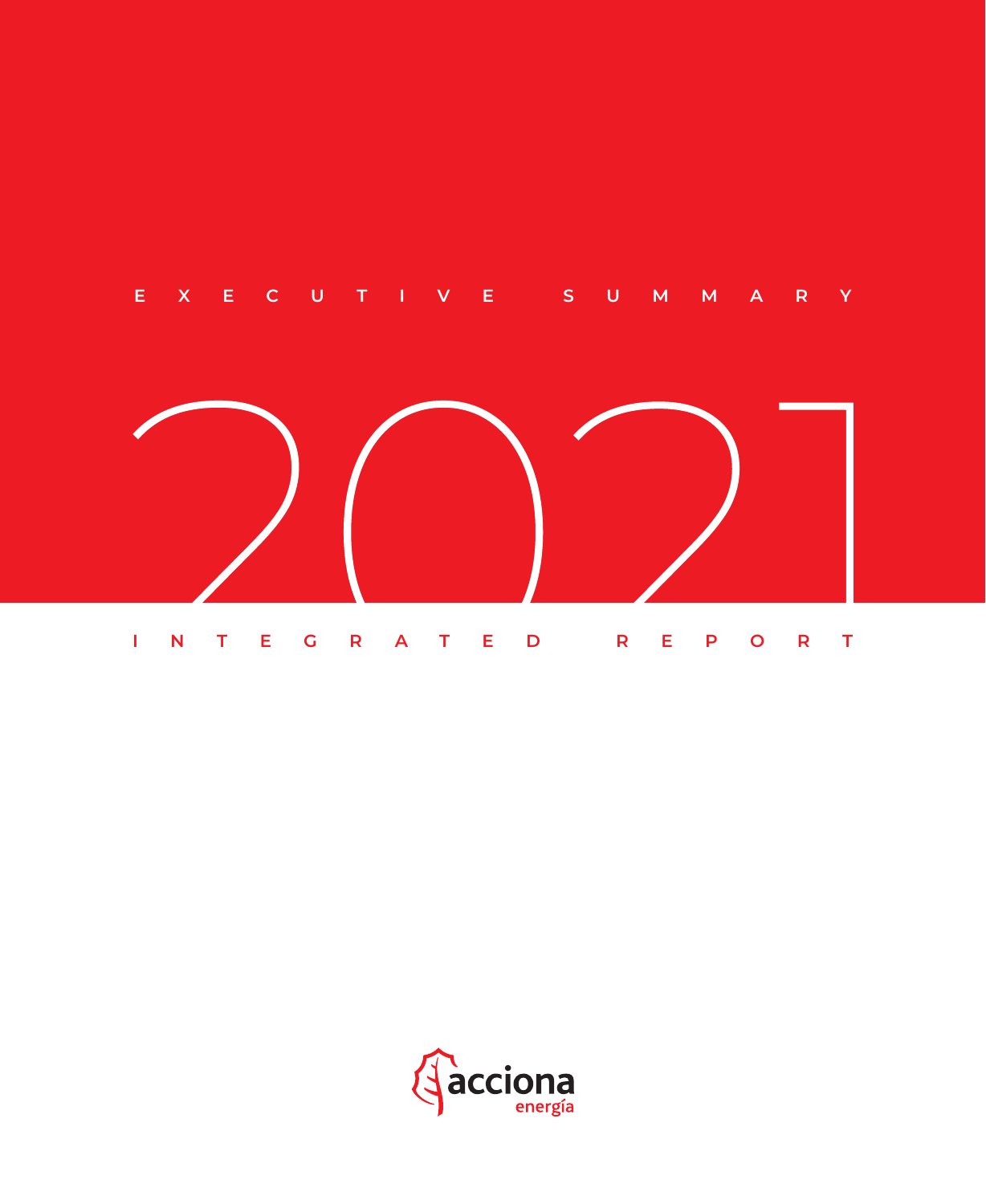



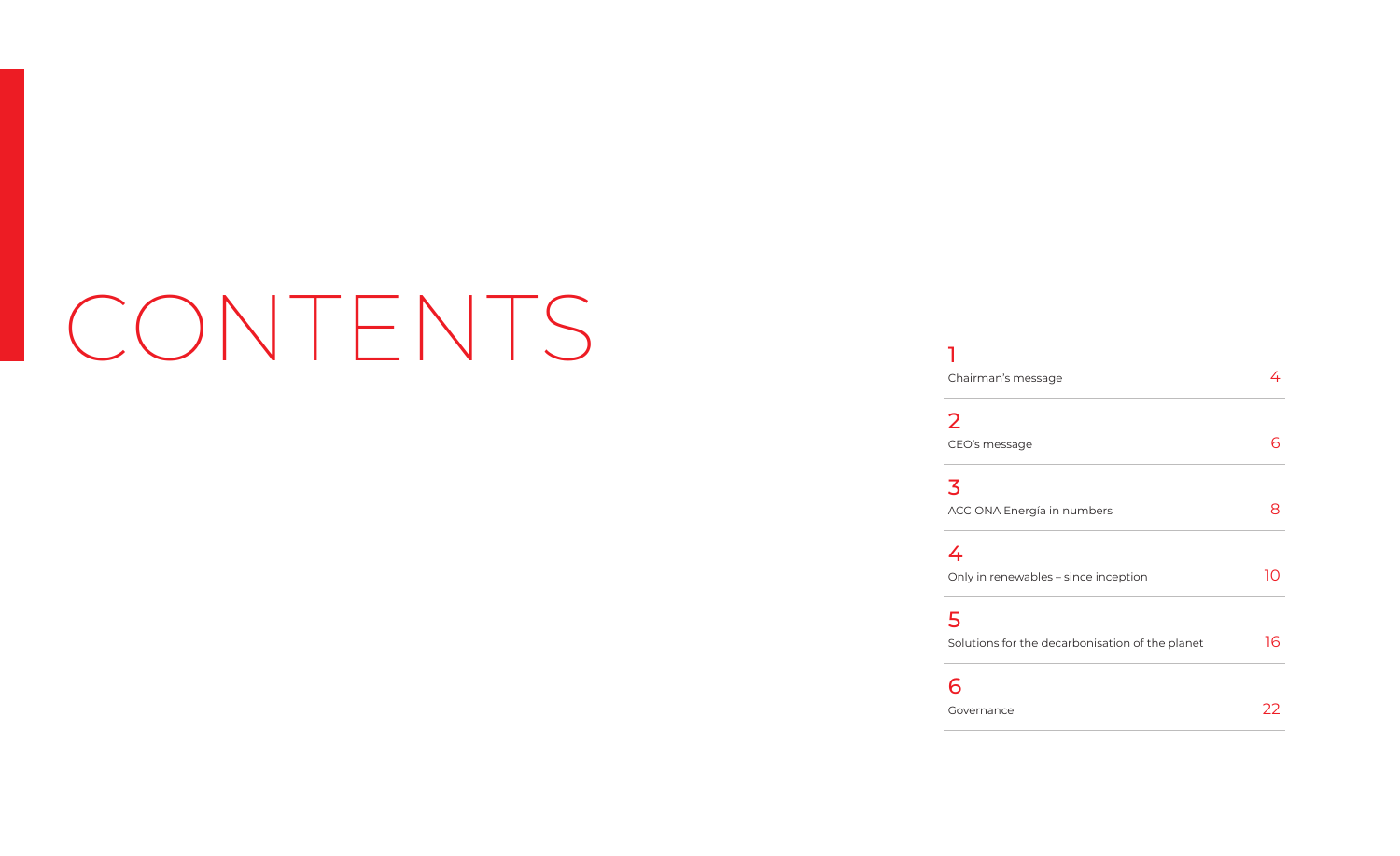# CONTENTS<sup>1</sup>

٠

Chairm

2 CEO's m

3 **ACCION** 

4 Only in

5 Solution

6

| Chairman's message                              | 4  |
|-------------------------------------------------|----|
| $\overline{\mathbf{2}}$                         |    |
| CEO's message                                   | 6  |
| 3                                               |    |
| ACCIONA Energía in numbers                      | 8  |
| 4                                               |    |
| Only in renewables - since inception            | 10 |
| 5                                               |    |
| Solutions for the decarbonisation of the planet | 16 |
| 6                                               |    |
| Governance                                      | ,, |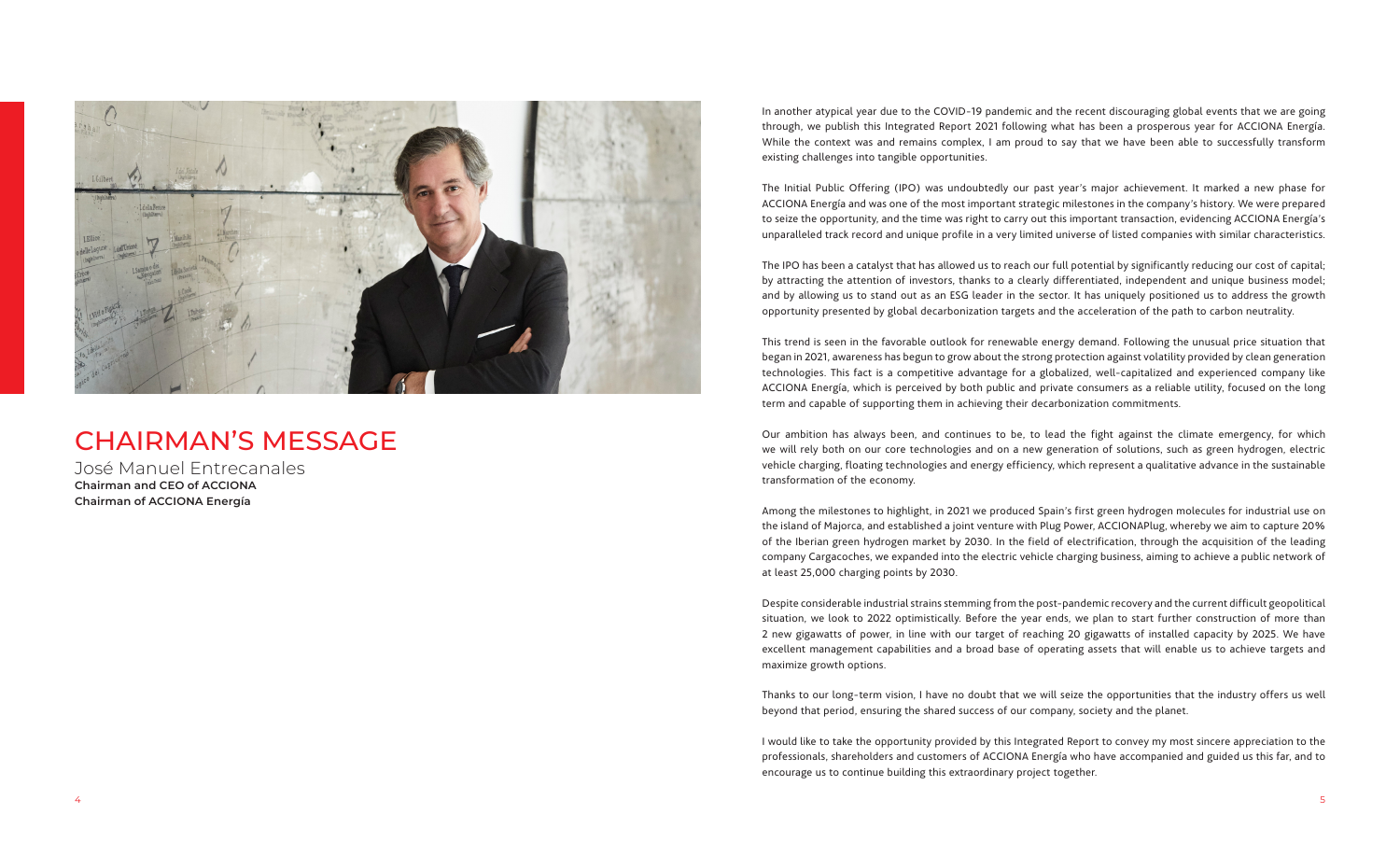

# CHAIRMAN'S MESSAGE

José Manuel Entrecanales **Chairman and CEO of ACCIONA Chairman of ACCIONA Energía**

In another atypical year due to the COVID-19 pandemic and the recent discouraging global events that we are going through, we publish this Integrated Report 2021 following what has been a prosperous year for ACCIONA Energía. While the context was and remains complex, I am proud to say that we have been able to successfully transform existing challenges into tangible opportunities.

The Initial Public Offering (IPO) was undoubtedly our past year's major achievement. It marked a new phase for ACCIONA Energía and was one of the most important strategic milestones in the company's history. We were prepared to seize the opportunity, and the time was right to carry out this important transaction, evidencing ACCIONA Energía's unparalleled track record and unique profile in a very limited universe of listed companies with similar characteristics.

The IPO has been a catalyst that has allowed us to reach our full potential by significantly reducing our cost of capital; by attracting the attention of investors, thanks to a clearly differentiated, independent and unique business model; and by allowing us to stand out as an ESG leader in the sector. It has uniquely positioned us to address the growth opportunity presented by global decarbonization targets and the acceleration of the path to carbon neutrality.

This trend is seen in the favorable outlook for renewable energy demand. Following the unusual price situation that began in 2021, awareness has begun to grow about the strong protection against volatility provided by clean generation technologies. This fact is a competitive advantage for a globalized, well-capitalized and experienced company like ACCIONA Energía, which is perceived by both public and private consumers as a reliable utility, focused on the long term and capable of supporting them in achieving their decarbonization commitments.

Our ambition has always been, and continues to be, to lead the fight against the climate emergency, for which we will rely both on our core technologies and on a new generation of solutions, such as green hydrogen, electric vehicle charging, floating technologies and energy efficiency, which represent a qualitative advance in the sustainable transformation of the economy.

Among the milestones to highlight, in 2021 we produced Spain's first green hydrogen molecules for industrial use on the island of Majorca, and established a joint venture with Plug Power, ACCIONAPlug, whereby we aim to capture 20% of the Iberian green hydrogen market by 2030. In the field of electrification, through the acquisition of the leading company Cargacoches, we expanded into the electric vehicle charging business, aiming to achieve a public network of at least 25,000 charging points by 2030.

Despite considerable industrial strains stemming from the post-pandemic recovery and the current difficult geopolitical situation, we look to 2022 optimistically. Before the year ends, we plan to start further construction of more than 2 new gigawatts of power, in line with our target of reaching 20 gigawatts of installed capacity by 2025. We have excellent management capabilities and a broad base of operating assets that will enable us to achieve targets and maximize growth options.

Thanks to our long-term vision, I have no doubt that we will seize the opportunities that the industry offers us well beyond that period, ensuring the shared success of our company, society and the planet.

I would like to take the opportunity provided by this Integrated Report to convey my most sincere appreciation to the professionals, shareholders and customers of ACCIONA Energía who have accompanied and guided us this far, and to encourage us to continue building this extraordinary project together.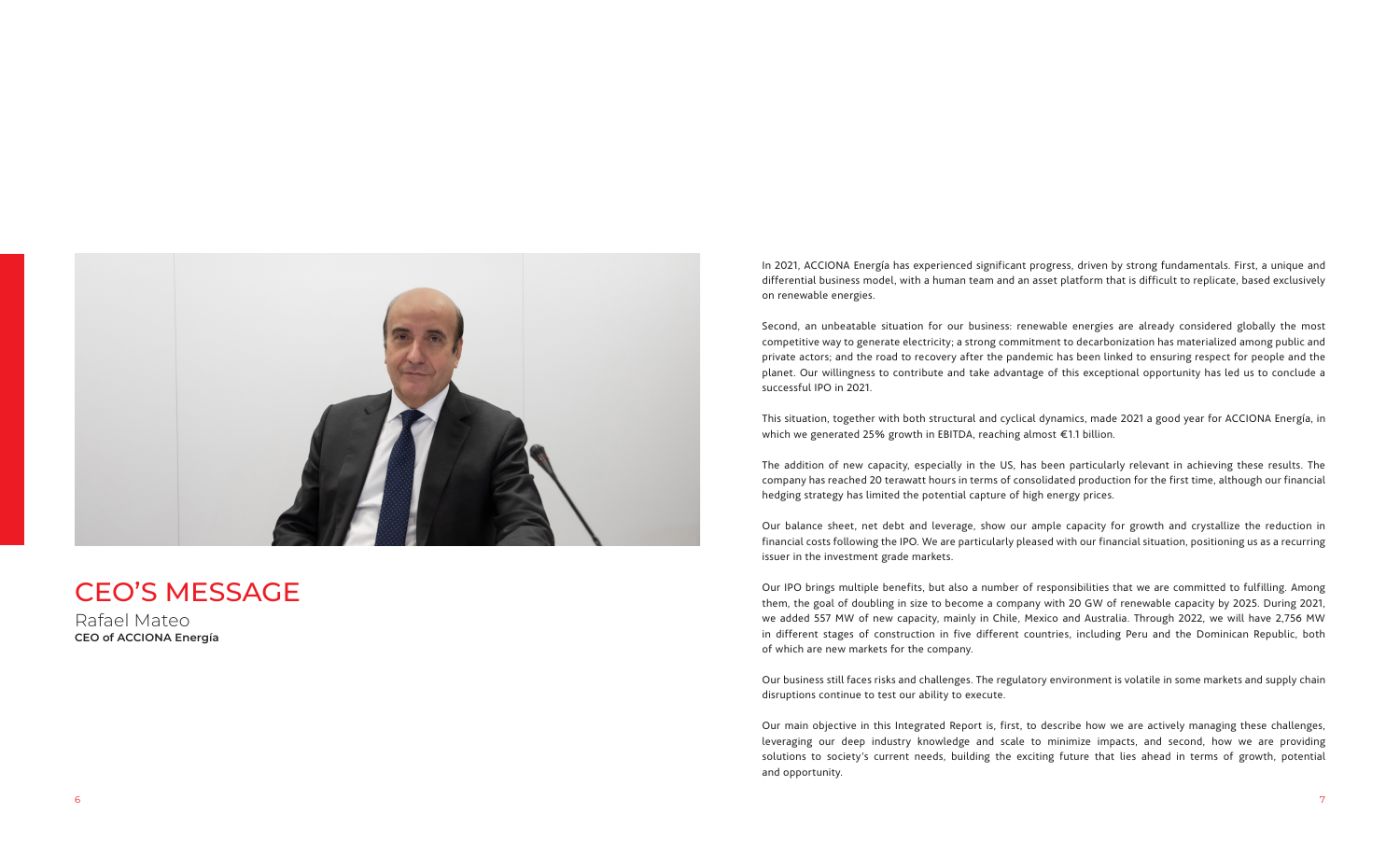In 2021, ACCIONA Energía has experienced significant progress, driven by strong fundamentals. First, a unique and differential business model, with a human team and an asset platform that is difficult to replicate, based exclusively

on renewable energies.

Second, an unbeatable situation for our business: renewable energies are already considered globally the most competitive way to generate electricity; a strong commitment to decarbonization has materialized among public and private actors; and the road to recovery after the pandemic has been linked to ensuring respect for people and the planet. Our willingness to contribute and take advantage of this exceptional opportunity has led us to conclude a successful IPO in 2021.

This situation, together with both structural and cyclical dynamics, made 2021 a good year for ACCIONA Energía, in which we generated 25% growth in EBITDA, reaching almost €1.1 billion.

The addition of new capacity, especially in the US, has been particularly relevant in achieving these results. The company has reached 20 terawatt hours in terms of consolidated production for the first time, although our financial hedging strategy has limited the potential capture of high energy prices.

Our balance sheet, net debt and leverage, show our ample capacity for growth and crystallize the reduction in financial costs following the IPO. We are particularly pleased with our financial situation, positioning us as a recurring issuer in the investment grade markets.

Our IPO brings multiple benefits, but also a number of responsibilities that we are committed to fulfilling. Among them, the goal of doubling in size to become a company with 20 GW of renewable capacity by 2025. During 2021, we added 557 MW of new capacity, mainly in Chile, Mexico and Australia. Through 2022, we will have 2,756 MW in different stages of construction in five different countries, including Peru and the Dominican Republic, both of which are new markets for the company.

Our business still faces risks and challenges. The regulatory environment is volatile in some markets and supply chain disruptions continue to test our ability to execute.

Our main objective in this Integrated Report is, first, to describe how we are actively managing these challenges, leveraging our deep industry knowledge and scale to minimize impacts, and second, how we are providing solutions to society's current needs, building the exciting future that lies ahead in terms of growth, potential and opportunity.



# CEO'S MESSAGE

Rafael Mateo **CEO of ACCIONA Energía**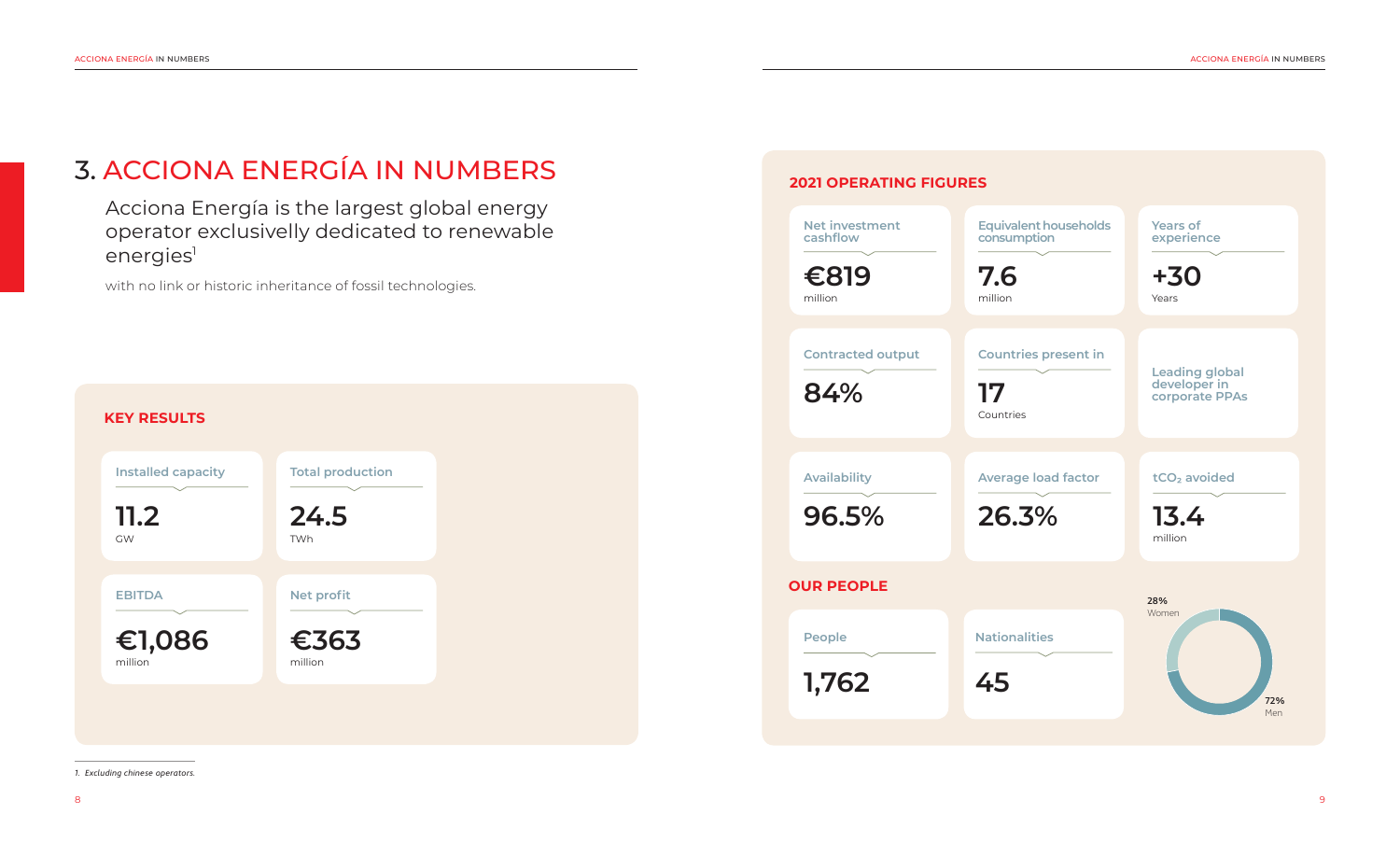Acciona Energía is the largest global energy operator exclusivelly dedicated to renewable energies<sup>1</sup>

with no link or historic inheritance of fossil technologies.

# 3. ACCIONA ENERGÍA IN NUMBERS

*1. Excluding chinese operators.*



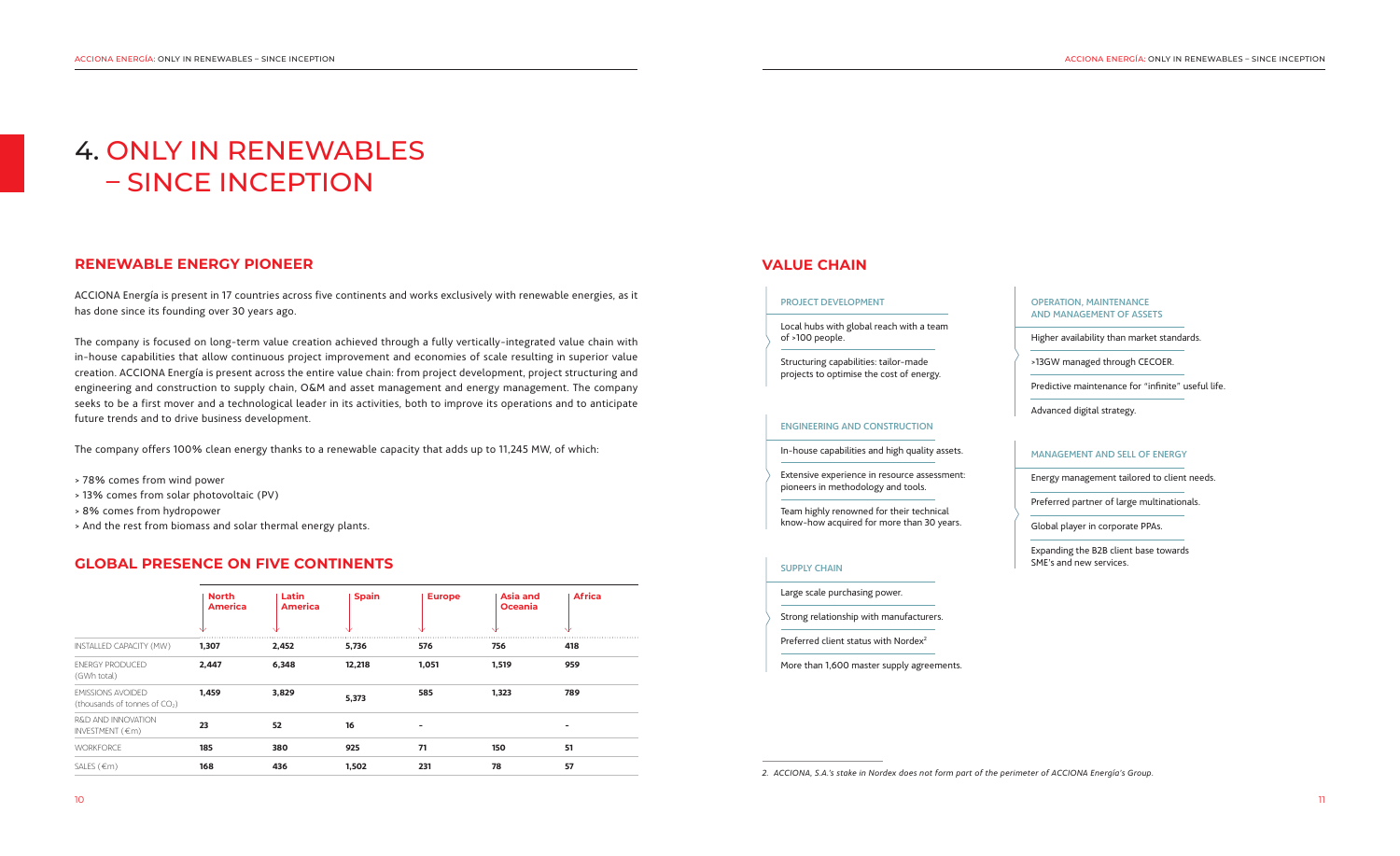# 4. ONLY IN RENEWABLES – SINCE INCEPTION

### **RENEWABLE ENERGY PIONEER**

ACCIONA Energía is present in 17 countries across five continents and works exclusively with renewable energies, as it has done since its founding over 30 years ago.

The company is focused on long-term value creation achieved through a fully vertically-integrated value chain with in-house capabilities that allow continuous project improvement and economies of scale resulting in superior value creation. ACCIONA Energía is present across the entire value chain: from project development, project structuring and engineering and construction to supply chain, O&M and asset management and energy management. The company seeks to be a first mover and a technological leader in its activities, both to improve its operations and to anticipate future trends and to drive business development.

The company offers 100% clean energy thanks to a renewable capacity that adds up to 11,245 MW, of which:

- > 78% comes from wind power
- > 13% comes from solar photovoltaic (PV)
- > 8% comes from hydropower
- > And the rest from biomass and solar thermal energy plants.

### **GLOBAL PRESENCE ON FIVE CONTINENTS**

|                                                                       | <b>North</b><br><b>America</b> | Latin<br><b>America</b> | <b>Spain</b> | <b>Europe</b> | <b>Asia and</b><br><b>Oceania</b> | <b>Africa</b> |
|-----------------------------------------------------------------------|--------------------------------|-------------------------|--------------|---------------|-----------------------------------|---------------|
| INSTALLED CAPACITY (MW)                                               | 1,307                          | 2,452                   | 5,736        | 576           | 756                               | 418           |
| <b>ENERGY PRODUCED</b><br>(GWh total)                                 | 2,447                          | 6,348                   | 12,218       | 1,051         | 1,519                             | 959           |
| <b>EMISSIONS AVOIDED</b><br>(thousands of tonnes of CO <sub>2</sub> ) | 1,459                          | 3,829                   | 5,373        | 585           | 1,323                             | 789           |
| R&D AND INNOVATION<br>INVESTMENT $(\epsilon m)$                       | 23                             | 52                      | 16           |               |                                   |               |
| <b>WORKFORCE</b>                                                      | 185                            | 380                     | 925          | 71            | 150                               | 51            |
| SALES $(€m)$                                                          | 168                            | 436                     | 1,502        | 231           | 78                                | 57            |
|                                                                       |                                |                         |              |               |                                   |               |

### **VALUE CHAIN**

```
2. ACCIONA, S.A.'s stake in Nordex does not form part of the perimeter of ACCIONA Energía's Group.
```
#### PROJECT DEVELOPMENT

Local hubs with global reach with a team of >100 people.

Structuring capabilities: tailor-made projects to optimise the cost of energy.

#### ENGINEERING AND CONSTRUCTION

In-house capabilities and high quality assets.

Extensive experience in resource assessment: pioneers in methodology and tools.

Team highly renowned for their technical know-how acquired for more than 30 years.

### MANAGEMENT AND SELL OF ENERGY

Energy management tailored to client needs.

Preferred partner of large multinationals.

Global player in corporate PPAs.

Expanding the B2B client base towards SME's and new services.

#### OPERATION, MAINTENANCE AND MANAGEMENT OF ASSETS

Higher availability than market standards.

>13GW managed through CECOER.

Predictive maintenance for "infinite" useful life.

Advanced digital strategy.

#### SUPPLY CHAIN

Large scale purchasing power.

Strong relationship with manufacturers.

Preferred client status with Nordex<sup>2</sup>

More than 1,600 master supply agreements.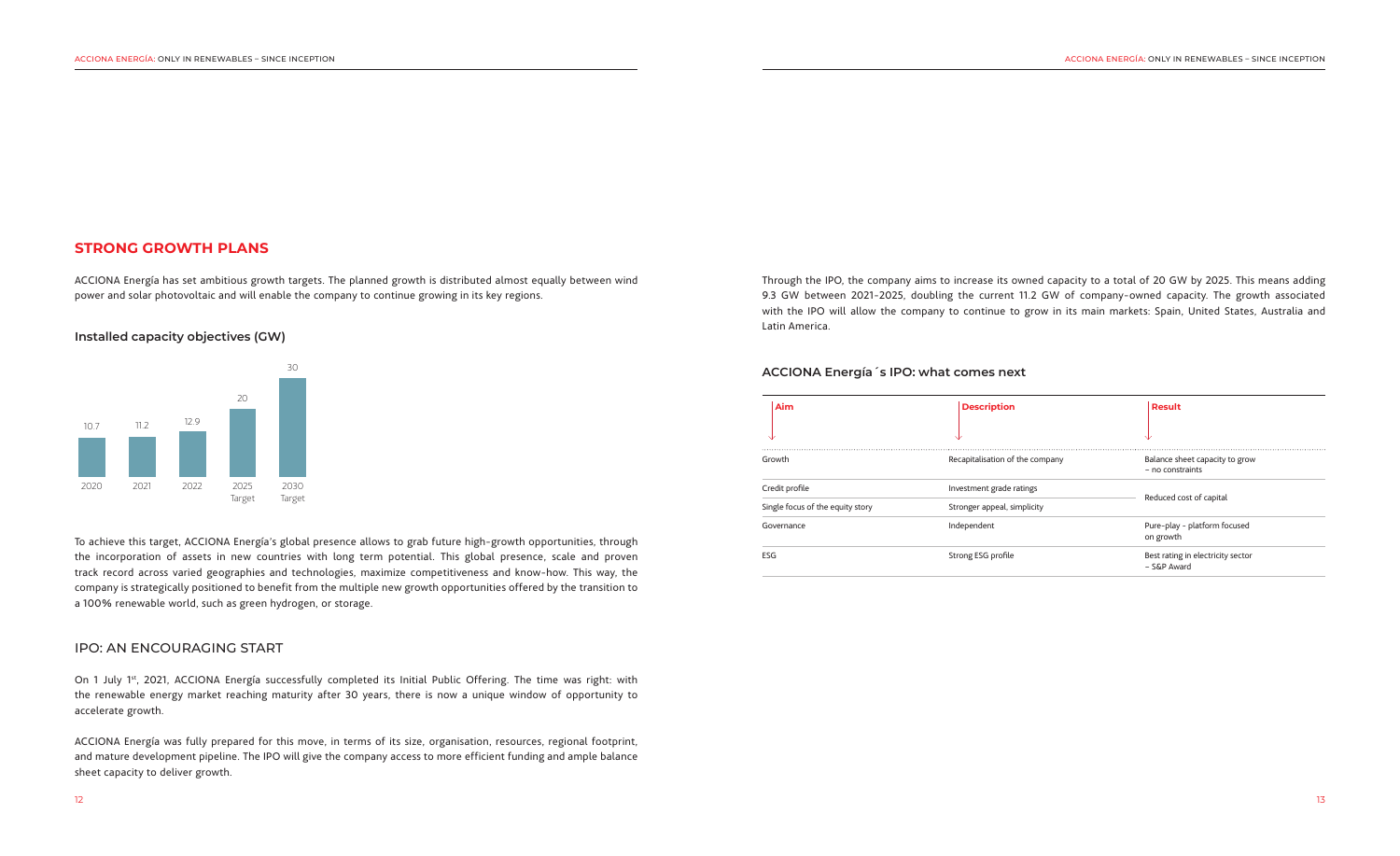To achieve this target, ACCIONA Energía's global presence allows to grab future high-growth opportunities, through the incorporation of assets in new countries with long term potential. This global presence, scale and proven track record across varied geographies and technologies, maximize competitiveness and know-how. This way, the company is strategically positioned to benefit from the multiple new growth opportunities offered by the transition to a 100% renewable world, such as green hydrogen, or storage.

On 1 July 1<sup>st</sup>, 2021, ACCIONA Energía successfully completed its Initial Public Offering. The time was right: with the renewable energy market reaching maturity after 30 years, there is now a unique window of opportunity to accelerate growth.

### IPO: AN ENCOURAGING START

ACCIONA Energía was fully prepared for this move, in terms of its size, organisation, resources, regional footprint, and mature development pipeline. The IPO will give the company access to more efficient funding and ample balance sheet capacity to deliver growth.

### **Installed capacity objectives (GW)**



| Aim                              | <b>Description</b>              | <b>Result</b>                                      |  |
|----------------------------------|---------------------------------|----------------------------------------------------|--|
| ╰┸                               | ₩                               | ◡                                                  |  |
| Growth                           | Recapitalisation of the company | Balance sheet capacity to grow<br>- no constraints |  |
| Credit profile                   | Investment grade ratings        | Reduced cost of capital                            |  |
| Single focus of the equity story | Stronger appeal, simplicity     |                                                    |  |
| Governance                       | Independent                     | Pure-play - platform focused<br>on growth          |  |
| ESG                              | Strong ESG profile              | Best rating in electricity sector<br>- S&P Award   |  |

### **ACCIONA Energía´s IPO: what comes next**

### **STRONG GROWTH PLANS**

ACCIONA Energía has set ambitious growth targets. The planned growth is distributed almost equally between wind power and solar photovoltaic and will enable the company to continue growing in its key regions.

Through the IPO, the company aims to increase its owned capacity to a total of 20 GW by 2025. This means adding 9.3 GW between 2021-2025, doubling the current 11.2 GW of company-owned capacity. The growth associated with the IPO will allow the company to continue to grow in its main markets: Spain, United States, Australia and Latin America.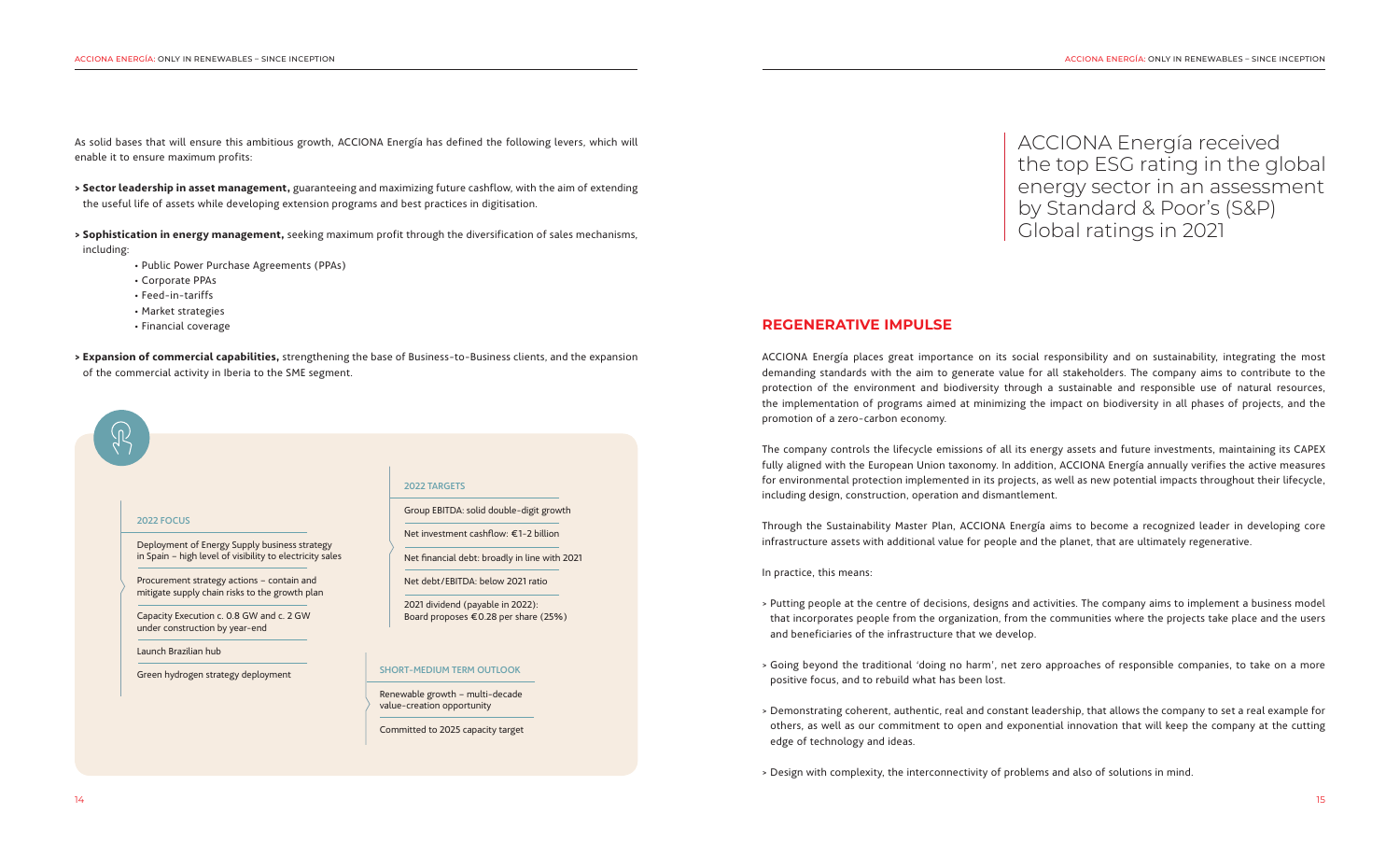As solid bases that will ensure this ambitious growth, ACCIONA Energía has defined the following levers, which will enable it to ensure maximum profits:

- **> Sector leadership in asset management,** guaranteeing and maximizing future cashflow, with the aim of extending the useful life of assets while developing extension programs and best practices in digitisation.
- **> Sophistication in energy management,** seeking maximum profit through the diversification of sales mechanisms,

including:

- Public Power Purchase Agreements (PPAs)
- Corporate PPAs
- Feed-in-tariffs
- Market strategies
- Financial coverage
- **> Expansion of commercial capabilities,** strengthening the base of Business-to-Business clients, and the expansion of the commercial activity in Iberia to the SME segment.

### **REGENERATIVE IMPULSE**

ACCIONA Energía places great importance on its social responsibility and on sustainability, integrating the most demanding standards with the aim to generate value for all stakeholders. The company aims to contribute to the protection of the environment and biodiversity through a sustainable and responsible use of natural resources, the implementation of programs aimed at minimizing the impact on biodiversity in all phases of projects, and the promotion of a zero-carbon economy.

The company controls the lifecycle emissions of all its energy assets and future investments, maintaining its CAPEX fully aligned with the European Union taxonomy. In addition, ACCIONA Energía annually verifies the active measures for environmental protection implemented in its projects, as well as new potential impacts throughout their lifecycle, including design, construction, operation and dismantlement.

Through the Sustainability Master Plan, ACCIONA Energía aims to become a recognized leader in developing core infrastructure assets with additional value for people and the planet, that are ultimately regenerative.

In practice, this means:

> Putting people at the centre of decisions, designs and activities. The company aims to implement a business model that incorporates people from the organization, from the communities where the projects take place and the users

> Going beyond the traditional 'doing no harm', net zero approaches of responsible companies, to take on a more

- and beneficiaries of the infrastructure that we develop.
- positive focus, and to rebuild what has been lost.
- edge of technology and ideas.
- > Design with complexity, the interconnectivity of problems and also of solutions in mind.

> Demonstrating coherent, authentic, real and constant leadership, that allows the company to set a real example for others, as well as our commitment to open and exponential innovation that will keep the company at the cutting

ACCIONA Energía received the top ESG rating in the global energy sector in an assessment by Standard & Poor's (S&P) Global ratings in 2021

### 2022 FOCUS

Deployment of Energy Supply business strategy in Spain – high level of visibility to electricity sales

Procurement strategy actions – contain and mitigate supply chain risks to the growth plan

Capacity Execution c. 0.8 GW and c. 2 GW under construction by year-end

Launch Brazilian hub

Green hydrogen strategy deployment

#### 2022 TARGETS

Group EBITDA: solid double-digit growth

Net investment cashflow: €1-2 billion

Net financial debt: broadly in line with 2021

Net debt/EBITDA: below 2021 ratio

2021 dividend (payable in 2022): Board proposes €0.28 per share (25%)

#### SHORT-MEDIUM TERM OUTLOOK

Renewable growth – multi-decade value-creation opportunity

Committed to 2025 capacity target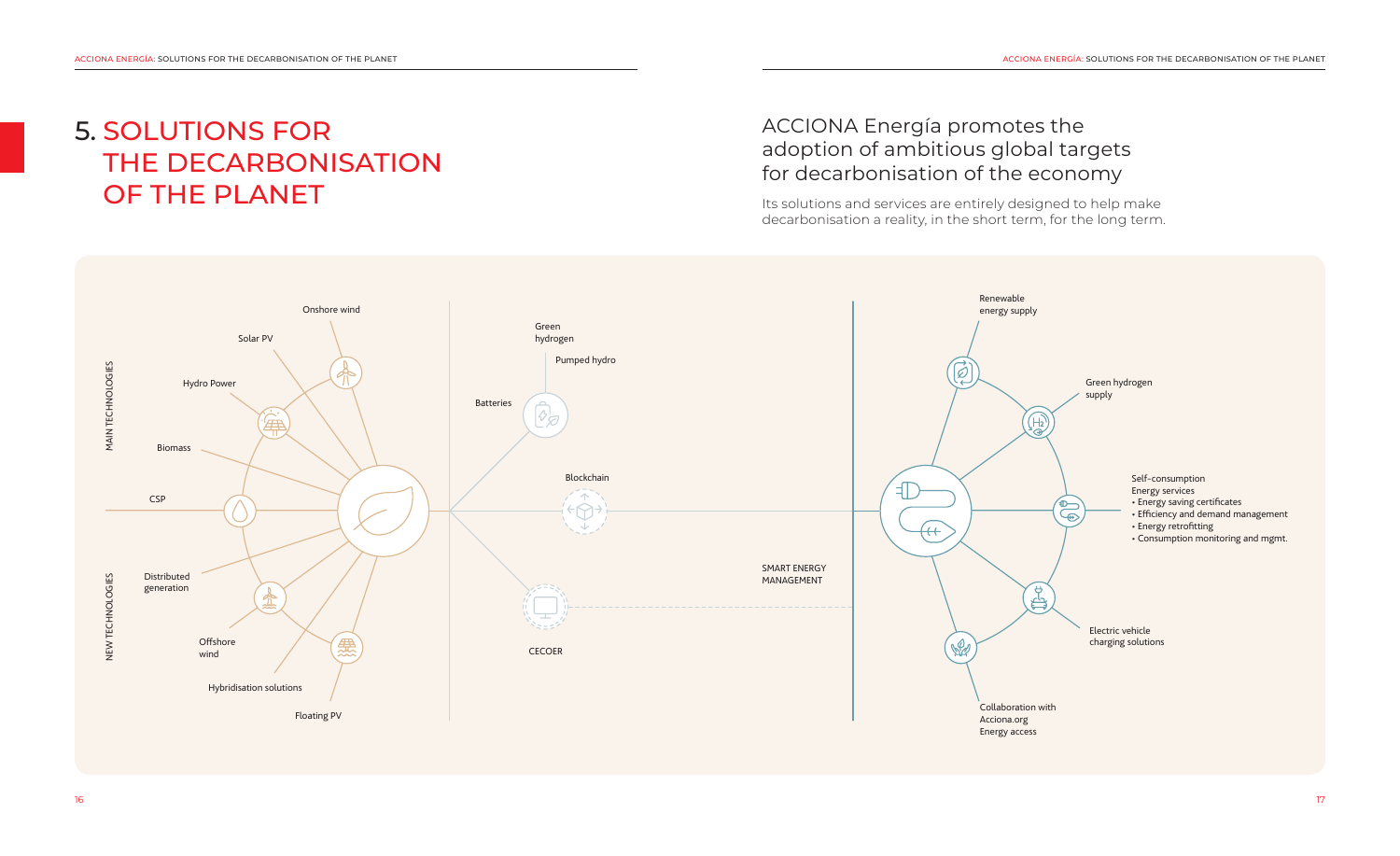# ACCIONA Energía promotes the adoption of ambitious global targets for decarbonisation of the economy

Its solutions and services are entirely designed to help make decarbonisation a reality, in the short term, for the long term.

# 5. SOLUTIONS FOR THE DECARBONISATION OF THE PLANET

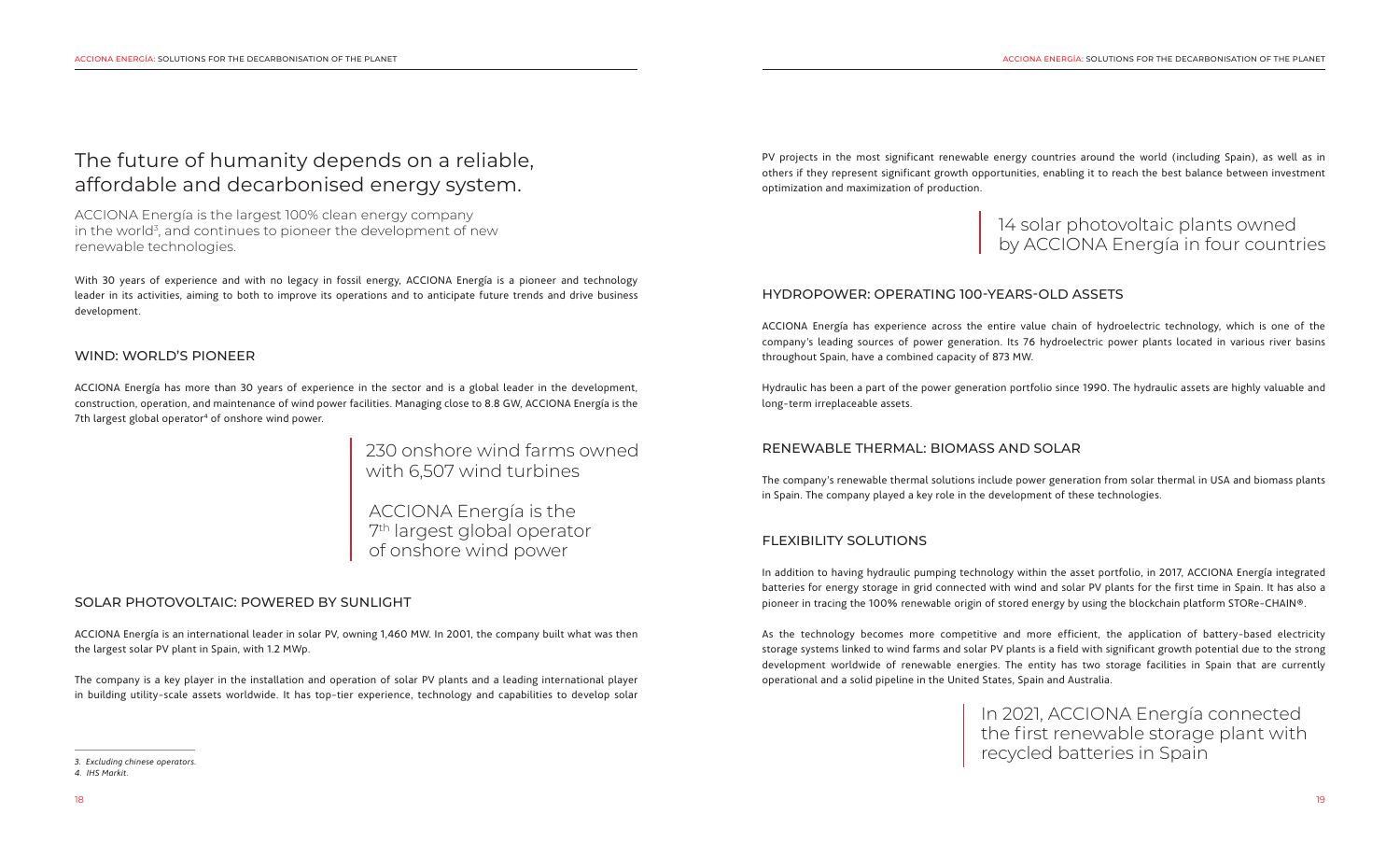ACCIONA Energía has more than 30 years of experience in the sector and is a global leader in the development, construction, operation, and maintenance of wind power facilities. Managing close to 8.8 GW, ACCIONA Energía is the 7th largest global operator<sup>4</sup> of onshore wind power.

### WIND: WORLD'S PIONEER

### SOLAR PHOTOVOLTAIC: POWERED BY SUNLIGHT

ACCIONA Energía is an international leader in solar PV, owning 1,460 MW. In 2001, the company built what was then the largest solar PV plant in Spain, with 1.2 MWp.

The company is a key player in the installation and operation of solar PV plants and a leading international player in building utility-scale assets worldwide. It has top-tier experience, technology and capabilities to develop solar

### HYDROPOWER: OPERATING 100-YEARS-OLD ASSETS

ACCIONA Energía has experience across the entire value chain of hydroelectric technology, which is one of the company's leading sources of power generation. Its 76 hydroelectric power plants located in various river basins throughout Spain, have a combined capacity of 873 MW.

Hydraulic has been a part of the power generation portfolio since 1990. The hydraulic assets are highly valuable and long-term irreplaceable assets.

## RENEWABLE THERMAL: BIOMASS AND SOLAR

The company's renewable thermal solutions include power generation from solar thermal in USA and biomass plants in Spain. The company played a key role in the development of these technologies.

### FLEXIBILITY SOLUTIONS

In addition to having hydraulic pumping technology within the asset portfolio, in 2017, ACCIONA Energía integrated batteries for energy storage in grid connected with wind and solar PV plants for the first time in Spain. It has also a pioneer in tracing the 100% renewable origin of stored energy by using the blockchain platform STORe-CHAIN®.

As the technology becomes more competitive and more efficient, the application of battery-based electricity storage systems linked to wind farms and solar PV plants is a field with significant growth potential due to the strong development worldwide of renewable energies. The entity has two storage facilities in Spain that are currently operational and a solid pipeline in the United States, Spain and Australia.

With 30 years of experience and with no legacy in fossil energy, ACCIONA Energía is a pioneer and technology leader in its activities, aiming to both to improve its operations and to anticipate future trends and drive business development.

# The future of humanity depends on a reliable, affordable and decarbonised energy system.

ACCIONA Energía is the largest 100% clean energy company in the world<sup>3</sup>, and continues to pioneer the development of new renewable technologies.

230 onshore wind farms owned with 6,507 wind turbines

# 14 solar photovoltaic plants owned by ACCIONA Energía in four countries

In 2021, ACCIONA Energía connected the first renewable storage plant with recycled batteries in Spain

ACCIONA Energía is the 7th largest global operator of onshore wind power

PV projects in the most significant renewable energy countries around the world (including Spain), as well as in others if they represent significant growth opportunities, enabling it to reach the best balance between investment optimization and maximization of production.

*<sup>3.</sup> Excluding chinese operators.* 

*<sup>4.</sup> IHS Markit.*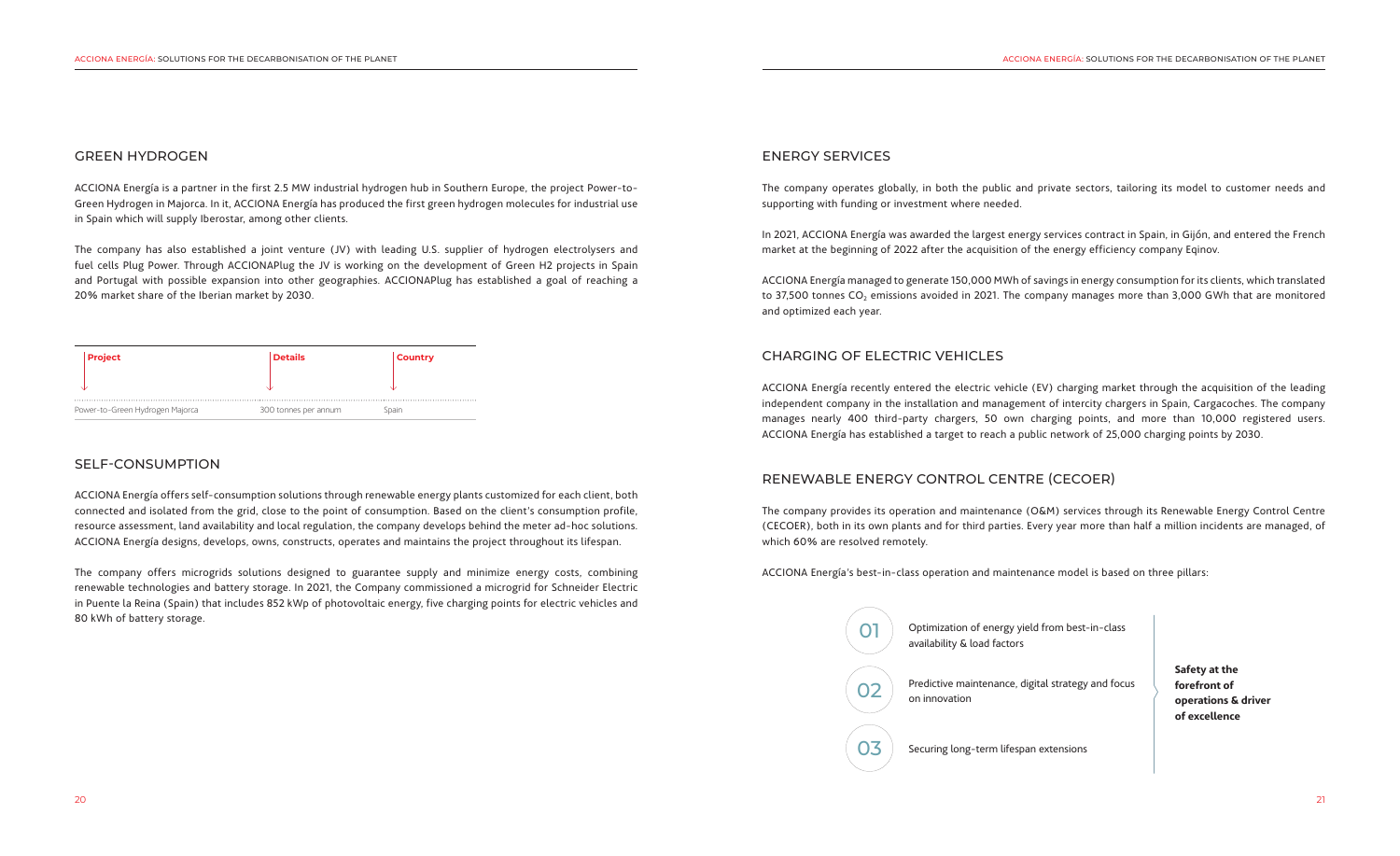### GREEN HYDROGEN

ACCIONA Energía is a partner in the first 2.5 MW industrial hydrogen hub in Southern Europe, the project Power-to-Green Hydrogen in Majorca. In it, ACCIONA Energía has produced the first green hydrogen molecules for industrial use in Spain which will supply Iberostar, among other clients.

The company has also established a joint venture (JV) with leading U.S. supplier of hydrogen electrolysers and fuel cells Plug Power. Through ACCIONAPlug the JV is working on the development of Green H2 projects in Spain and Portugal with possible expansion into other geographies. ACCIONAPlug has established a goal of reaching a 20% market share of the Iberian market by 2030.

### CHARGING OF ELECTRIC VEHICLES

ACCIONA Energía recently entered the electric vehicle (EV) charging market through the acquisition of the leading independent company in the installation and management of intercity chargers in Spain, Cargacoches. The company manages nearly 400 third-party chargers, 50 own charging points, and more than 10,000 registered users. ACCIONA Energía has established a target to reach a public network of 25,000 charging points by 2030.

### RENEWABLE ENERGY CONTROL CENTRE (CECOER)

The company provides its operation and maintenance (O&M) services through its Renewable Energy Control Centre (CECOER), both in its own plants and for third parties. Every year more than half a million incidents are managed, of which 60% are resolved remotely.

ACCIONA Energía's best-in-class operation and maintenance model is based on three pillars:

### SELF-CONSUMPTION

ACCIONA Energía offers self-consumption solutions through renewable energy plants customized for each client, both connected and isolated from the grid, close to the point of consumption. Based on the client's consumption profile, resource assessment, land availability and local regulation, the company develops behind the meter ad-hoc solutions. ACCIONA Energía designs, develops, owns, constructs, operates and maintains the project throughout its lifespan.

The company offers microgrids solutions designed to guarantee supply and minimize energy costs, combining renewable technologies and battery storage. In 2021, the Company commissioned a microgrid for Schneider Electric in Puente la Reina (Spain) that includes 852 kWp of photovoltaic energy, five charging points for electric vehicles and 80 kWh of battery storage.

### ENERGY SERVICES

The company operates globally, in both the public and private sectors, tailoring its model to customer needs and supporting with funding or investment where needed.

In 2021, ACCIONA Energía was awarded the largest energy services contract in Spain, in Gijón, and entered the French market at the beginning of 2022 after the acquisition of the energy efficiency company Eqinov.

ACCIONA Energía managed to generate 150,000 MWh of savings in energy consumption for its clients, which translated to 37,500 tonnes  $CO<sub>2</sub>$  emissions avoided in 2021. The company manages more than 3,000 GWh that are monitored and optimized each year.

Optimization of energy yield from best-in-class

Predictive maintenance, digital strategy and focus



Securing long-term lifespan extensions

**Safety at the forefront of operations & driver of excellence**

| <b>Project</b>                  | <b>Details</b>       | <b>Country</b> |
|---------------------------------|----------------------|----------------|
|                                 |                      |                |
| Power-to-Green Hydrogen Majorca | 300 tonnes per annum | Spain          |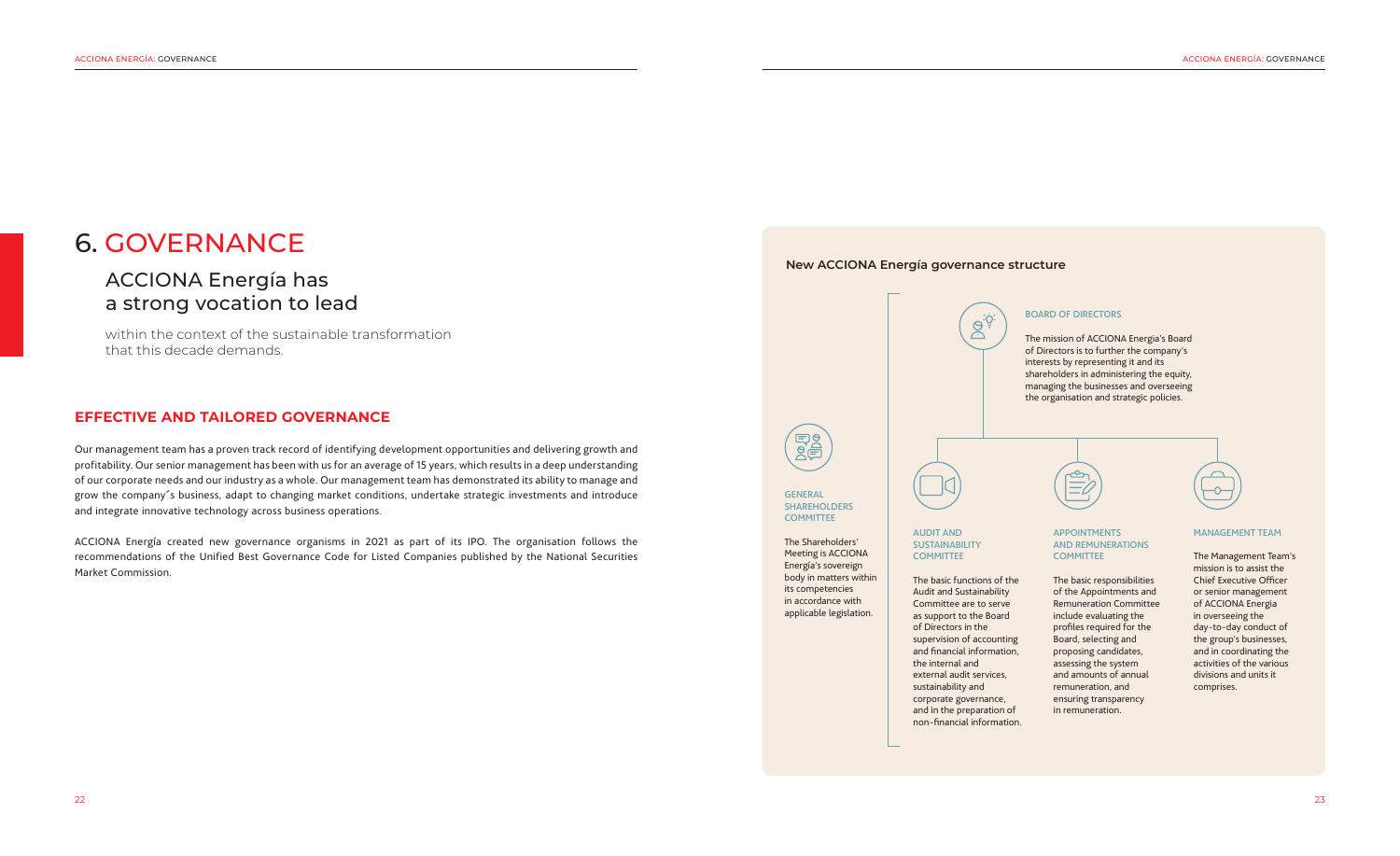# ACCIONA Energía has a strong vocation to lead

within the context of the sustainable transformation that this decade demands.

# 6. GOVERNANCE

### **EFFECTIVE AND TAILORED GOVERNANCE**

Our management team has a proven track record of identifying development opportunities and delivering growth and profitability. Our senior management has been with us for an average of 15 years, which results in a deep understanding of our corporate needs and our industry as a whole. Our management team has demonstrated its ability to manage and grow the company´s business, adapt to changing market conditions, undertake strategic investments and introduce and integrate innovative technology across business operations.

> AUDIT AND **SUSTAINABILITY COMMITTEE**

#### APPOINTMENTS AND REMUNERATIONS **COMMITTEE**

ACCIONA Energía created new governance organisms in 2021 as part of its IPO. The organisation follows the recommendations of the Unified Best Governance Code for Listed Companies published by the National Securities Market Commission.





**GENERAL SHAREHOLDERS COMMITTEE** 

### **New ACCIONA Energía governance structure**



The basic functions of the

Audit and Sustainability Committee are to serve as support to the Board of Directors in the supervision of accounting and financial information, the internal and external audit services, sustainability and corporate governance, and in the preparation of non‑financial information. The basic responsibilities of the Appointments and Remuneration Committee include evaluating the profiles required for the Board, selecting and proposing candidates, assessing the system and amounts of annual remuneration, and ensuring transparency in remuneration.



#### MANAGEMENT TEAM

The Management Team's mission is to assist the Chief Executive Officer or senior management of ACCIONA Energia in overseeing the day-to-day conduct of the group's businesses, and in coordinating the activities of the various divisions and units it comprises.

### BOARD OF DIRECTORS

The mission of ACCIONA Energia's Board of Directors is to further the company's interests by representing it and its shareholders in administering the equity, managing the businesses and overseeing the organisation and strategic policies.



The Shareholders' Meeting is ACCIONA Energía's sovereign body in matters within its competencies in accordance with applicable legislation.